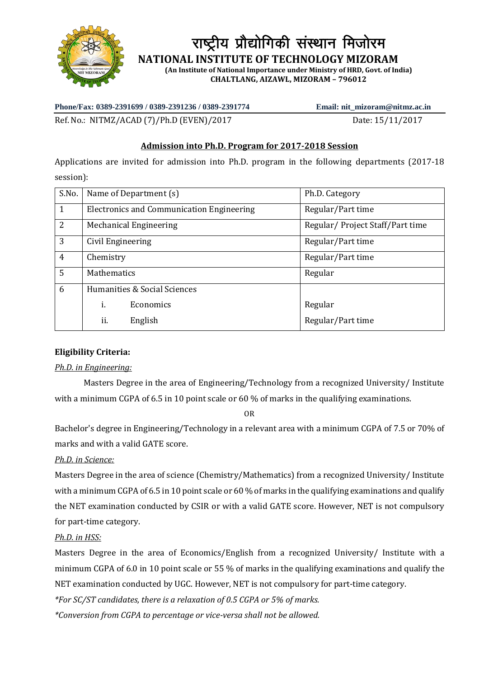

राष्ट्रीय प्रौद्योगिकी संस्थान मिजोरम

 **NATIONAL INSTITUTE OF TECHNOLOGY MIZORAM**

**(An Institute of National Importance under Ministry of HRD, Govt. of India) CHALTLANG, AIZAWL, MIZORAM – 796012**

**Phone/Fax: 0389-2391699 / 0389-2391236 / 0389-2391774 Email: nit\_mizoram@nitmz.ac.in**

Ref. No.: NITMZ/ACAD (7)/Ph.D (EVEN)/2017 Date: 15/11/2017

# **Admission into Ph.D. Program for 2017-2018 Session**

Applications are invited for admission into Ph.D. program in the following departments (2017-18 session):

| S.No.          | Name of Department (s)                    | Ph.D. Category                  |
|----------------|-------------------------------------------|---------------------------------|
| 1              | Electronics and Communication Engineering | Regular/Part time               |
| $\overline{2}$ | <b>Mechanical Engineering</b>             | Regular/Project Staff/Part time |
| 3              | Civil Engineering                         | Regular/Part time               |
| 4              | Chemistry                                 | Regular/Part time               |
| 5              | <b>Mathematics</b>                        | Regular                         |
| 6              | Humanities & Social Sciences              |                                 |
|                | Economics<br><sup>1</sup>                 | Regular                         |
|                | ii.<br>English                            | Regular/Part time               |

# **Eligibility Criteria:**

### *Ph.D. in Engineering:*

Masters Degree in the area of Engineering/Technology from a recognized University/ Institute with a minimum CGPA of 6.5 in 10 point scale or 60 % of marks in the qualifying examinations.

OR

Bachelor's degree in Engineering/Technology in a relevant area with a minimum CGPA of 7.5 or 70% of marks and with a valid GATE score.

# *Ph.D. in Science:*

Masters Degree in the area of science (Chemistry/Mathematics) from a recognized University/ Institute with a minimum CGPA of 6.5 in 10 point scale or 60 % of marks in the qualifying examinations and qualify the NET examination conducted by CSIR or with a valid GATE score. However, NET is not compulsory for part-time category.

# *Ph.D. in HSS:*

Masters Degree in the area of Economics/English from a recognized University/ Institute with a minimum CGPA of 6.0 in 10 point scale or 55 % of marks in the qualifying examinations and qualify the NET examination conducted by UGC. However, NET is not compulsory for part-time category.

*\*For SC/ST candidates, there is a relaxation of 0.5 CGPA or 5% of marks.*

*\*Conversion from CGPA to percentage or vice-versa shall not be allowed.*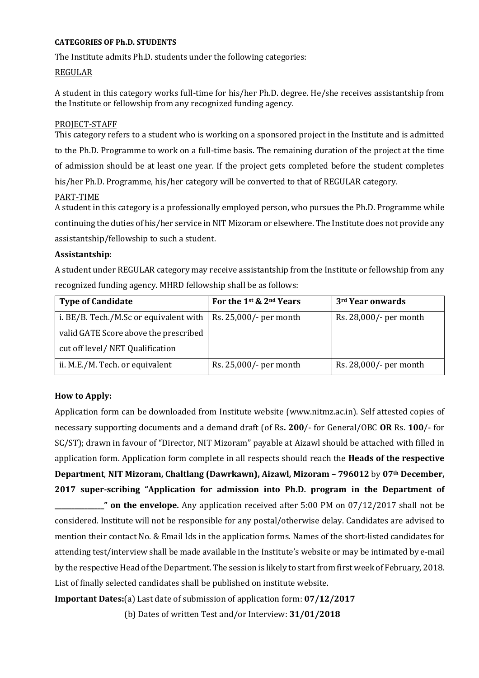#### **CATEGORIES OF Ph.D. STUDENTS**

The Institute admits Ph.D. students under the following categories:

#### REGULAR

A student in this category works full-time for his/her Ph.D. degree. He/she receives assistantship from the Institute or fellowship from any recognized funding agency.

### PROJECT-STAFF

This category refers to a student who is working on a sponsored project in the Institute and is admitted to the Ph.D. Programme to work on a full-time basis. The remaining duration of the project at the time of admission should be at least one year. If the project gets completed before the student completes his/her Ph.D. Programme, his/her category will be converted to that of REGULAR category.

### PART-TIME

A student in this category is a professionally employed person, who pursues the Ph.D. Programme while continuing the duties of his/her service in NIT Mizoram or elsewhere. The Institute does not provide any assistantship/fellowship to such a student.

#### **Assistantship**:

A student under REGULAR category may receive assistantship from the Institute or fellowship from any recognized funding agency. MHRD fellowship shall be as follows:

| <b>Type of Candidate</b>                                          | For the 1st & 2nd Years   | 3 <sup>rd</sup> Year onwards |
|-------------------------------------------------------------------|---------------------------|------------------------------|
| i. BE/B. Tech./M.Sc or equivalent with $ $ Rs. 25,000/- per month |                           | Rs. 28,000/- per month       |
| valid GATE Score above the prescribed                             |                           |                              |
| cut off level/ NET Qualification                                  |                           |                              |
| ii. M.E./M. Tech. or equivalent                                   | Rs. $25,000/$ - per month | Rs. 28,000/- per month       |

### **How to Apply:**

Application form can be downloaded from Institute website (www.nitmz.ac.in). Self attested copies of necessary supporting documents and a demand draft (of Rs**. 200**/- for General/OBC **OR** Rs. **100**/- for SC/ST); drawn in favour of "Director, NIT Mizoram" payable at Aizawl should be attached with filled in application form. Application form complete in all respects should reach the **Heads of the respective Department**, **NIT Mizoram, Chaltlang (Dawrkawn), Aizawl, Mizoram – 796012** by **07th December, 2017 super-scribing "Application for admission into Ph.D. program in the Department of** 

**\_\_\_\_\_\_\_\_\_\_\_\_\_\_\_" on the envelope.** Any application received after 5:00 PM on 07/12/2017 shall not be considered. Institute will not be responsible for any postal/otherwise delay. Candidates are advised to mention their contact No. & Email Ids in the application forms. Names of the short-listed candidates for attending test/interview shall be made available in the Institute's website or may be intimated by e-mail by the respective Head of the Department. The session is likely to start from first week of February, 2018. List of finally selected candidates shall be published on institute website.

**Important Dates:**(a) Last date of submission of application form: **07/12/2017**

(b) Dates of written Test and/or Interview: **31/01/2018**